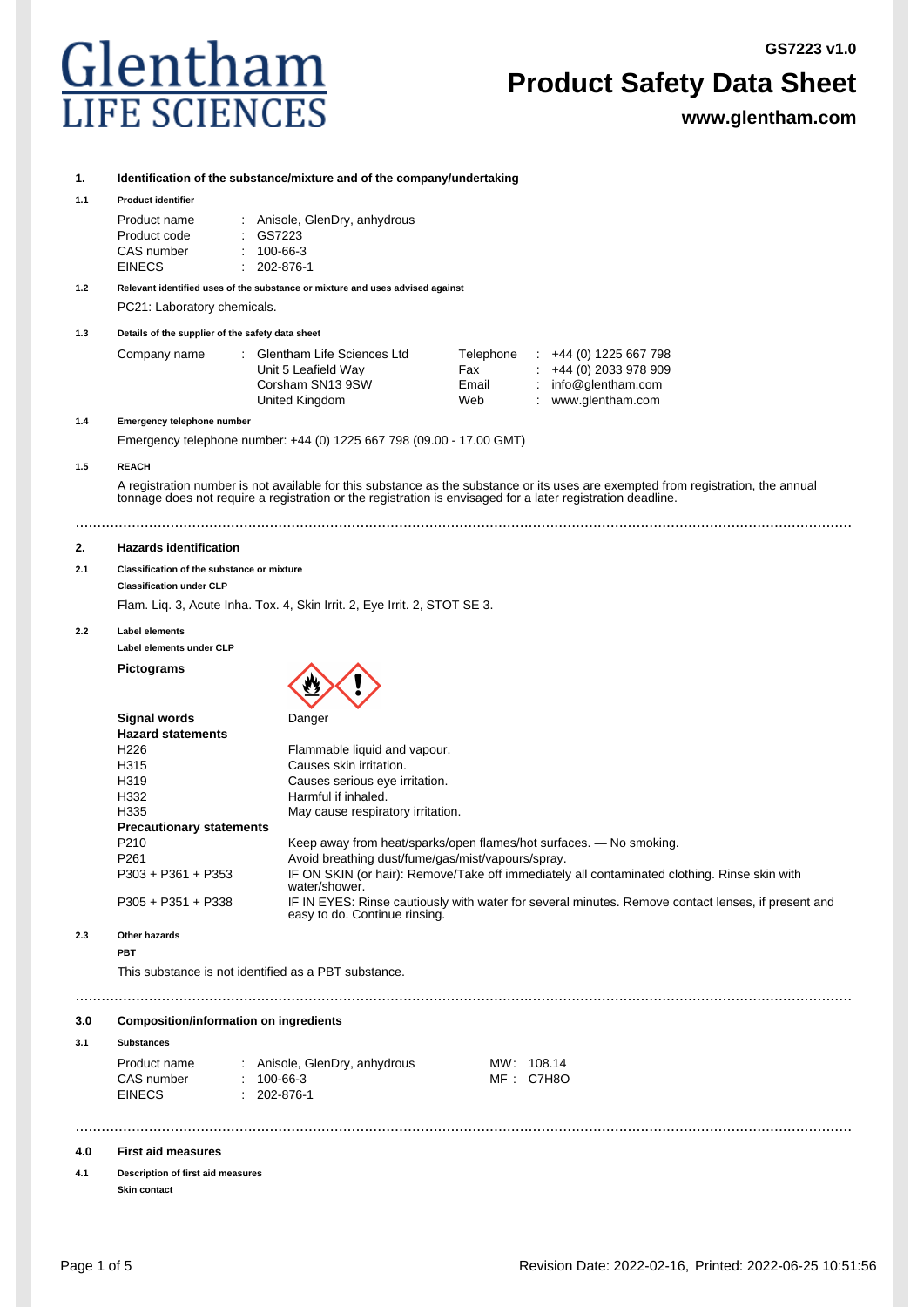**GS7223 v1.0**



# **Product Safety Data Sheet**

**www.glentham.com**

# **1. Identification of the substance/mixture and of the company/undertaking**

#### **1.1 Product identifier**

| Product name  | : Anisole, GlenDry, anhydrous |
|---------------|-------------------------------|
| Product code  | : GS7223                      |
| CAS number    | $: 100 - 66 - 3$              |
| <b>EINECS</b> | $: 202 - 876 - 1$             |

**1.2 Relevant identified uses of the substance or mixture and uses advised against** PC21: Laboratory chemicals.

**1.3 Details of the supplier of the safety data sheet**

| Company name | : Glentham Life Sciences Ltd | Telephone | $\div$ +44 (0) 1225 667 798 |
|--------------|------------------------------|-----------|-----------------------------|
|              | Unit 5 Leafield Way          | Fax       | $\div$ +44 (0) 2033 978 909 |
|              | Corsham SN13 9SW             | Email     | : $info@$ glentham.com      |
|              | United Kingdom               | Web       | www.glentham.com            |

**1.4 Emergency telephone number**

Emergency telephone number: +44 (0) 1225 667 798 (09.00 - 17.00 GMT)

# **1.5 REACH**

A registration number is not available for this substance as the substance or its uses are exempted from registration, the annual tonnage does not require a registration or the registration is envisaged for a later registration deadline.

....................................................................................................................................................................................

# **2. Hazards identification**

# **2.1 Classification of the substance or mixture**

**Classification under CLP**

Flam. Liq. 3, Acute Inha. Tox. 4, Skin Irrit. 2, Eye Irrit. 2, STOT SE 3.

#### **2.2 Label elements**

**Label elements under CLP**

**Pictograms**



| <b>Hazard statements</b>        |                                                                                                                                     |
|---------------------------------|-------------------------------------------------------------------------------------------------------------------------------------|
| H <sub>226</sub>                | Flammable liquid and vapour.                                                                                                        |
| H <sub>315</sub>                | Causes skin irritation.                                                                                                             |
| H <sub>319</sub>                | Causes serious eye irritation.                                                                                                      |
| H332                            | Harmful if inhaled.                                                                                                                 |
| H335                            | May cause respiratory irritation.                                                                                                   |
| <b>Precautionary statements</b> |                                                                                                                                     |
| P <sub>210</sub>                | Keep away from heat/sparks/open flames/hot surfaces. — No smoking.                                                                  |
| P <sub>261</sub>                | Avoid breathing dust/fume/gas/mist/vapours/spray.                                                                                   |
| $P303 + P361 + P353$            | IF ON SKIN (or hair): Remove/Take off immediately all contaminated clothing. Rinse skin with<br>water/shower.                       |
| $P305 + P351 + P338$            | IF IN EYES: Rinse cautiously with water for several minutes. Remove contact lenses, if present and<br>easy to do. Continue rinsing. |
|                                 |                                                                                                                                     |

....................................................................................................................................................................................

....................................................................................................................................................................................

# **2.3 Other hazards**

**PBT**

This substance is not identified as a PBT substance.

# **3.0 Composition/information on ingredients**

#### **3.1 Substances**

| Product name  | : Anisole, GlenDry, anhydrous | MW: 108.14 |
|---------------|-------------------------------|------------|
| CAS number    | : 100-66-3                    | MF: C7H8O  |
| <b>EINECS</b> | $: 202 - 876 - 1$             |            |

# **4.0 First aid measures**

**4.1 Description of first aid measures Skin contact**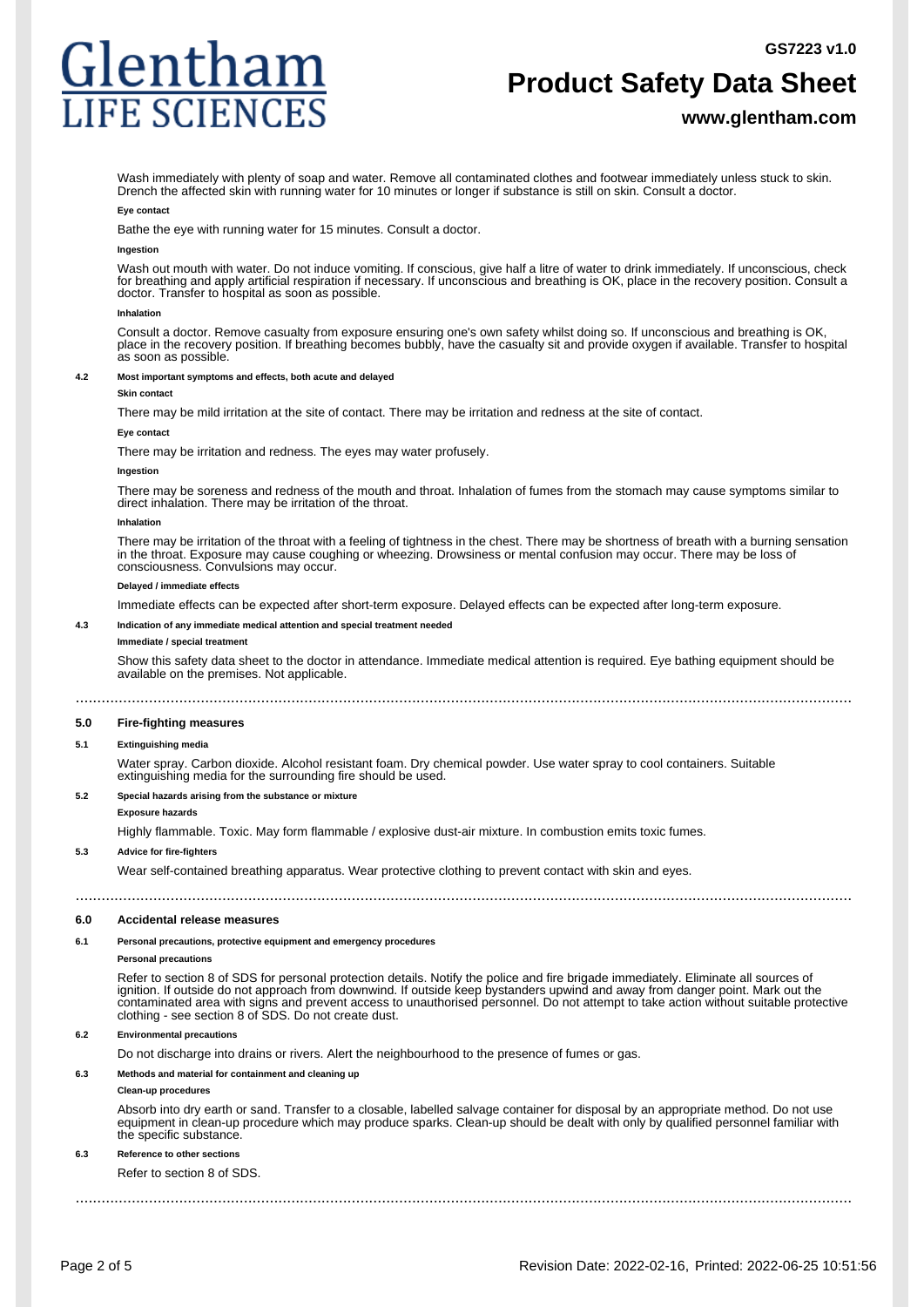# Glenthan **IFE SCIEN**

# **Product Safety Data Sheet**

# **www.glentham.com**

Wash immediately with plenty of soap and water. Remove all contaminated clothes and footwear immediately unless stuck to skin. Drench the affected skin with running water for 10 minutes or longer if substance is still on skin. Consult a doctor.

#### **Eye contact**

Bathe the eye with running water for 15 minutes. Consult a doctor.

### **Ingestion**

Wash out mouth with water. Do not induce vomiting. If conscious, give half a litre of water to drink immediately. If unconscious, check for breathing and apply artificial respiration if necessary. If unconscious and breathing is OK, place in the recovery position. Consult a doctor. Transfer to hospital as soon as possible.

#### **Inhalation**

Consult a doctor. Remove casualty from exposure ensuring one's own safety whilst doing so. If unconscious and breathing is OK, place in the recovery position. If breathing becomes bubbly, have the casualty sit and provide oxygen if available. Transfer to hospital as soon as possible.

### **4.2 Most important symptoms and effects, both acute and delayed**

#### **Skin contact**

There may be mild irritation at the site of contact. There may be irritation and redness at the site of contact.

#### **Eye contact**

There may be irritation and redness. The eyes may water profusely.

#### **Ingestion**

There may be soreness and redness of the mouth and throat. Inhalation of fumes from the stomach may cause symptoms similar to direct inhalation. There may be irritation of the throat.

#### **Inhalation**

There may be irritation of the throat with a feeling of tightness in the chest. There may be shortness of breath with a burning sensation in the throat. Exposure may cause coughing or wheezing. Drowsiness or mental confusion may occur. There may be loss of consciousness. Convulsions may occur.

#### **Delayed / immediate effects**

Immediate effects can be expected after short-term exposure. Delayed effects can be expected after long-term exposure.

### **4.3 Indication of any immediate medical attention and special treatment needed**

#### **Immediate / special treatment**

Show this safety data sheet to the doctor in attendance. Immediate medical attention is required. Eye bathing equipment should be available on the premises. Not applicable.

....................................................................................................................................................................................

# **5.0 Fire-fighting measures**

# **5.1 Extinguishing media**

Water spray. Carbon dioxide. Alcohol resistant foam. Dry chemical powder. Use water spray to cool containers. Suitable extinguishing media for the surrounding fire should be used.

### **5.2 Special hazards arising from the substance or mixture**

# **Exposure hazards**

Highly flammable. Toxic. May form flammable / explosive dust-air mixture. In combustion emits toxic fumes.

#### **5.3 Advice for fire-fighters**

Wear self-contained breathing apparatus. Wear protective clothing to prevent contact with skin and eyes.

....................................................................................................................................................................................

# **6.0 Accidental release measures**

# **6.1 Personal precautions, protective equipment and emergency procedures**

# **Personal precautions**

Refer to section 8 of SDS for personal protection details. Notify the police and fire brigade immediately. Eliminate all sources of ignition. If outside do not approach from downwind. If outside keep bystanders upwind and away from danger point. Mark out the contaminated area with signs and prevent access to unauthorised personnel. Do not attempt to take action without suitable protective clothing - see section 8 of SDS. Do not create dust.

# **6.2 Environmental precautions**

Do not discharge into drains or rivers. Alert the neighbourhood to the presence of fumes or gas.

# **6.3 Methods and material for containment and cleaning up**

# **Clean-up procedures**

Absorb into dry earth or sand. Transfer to a closable, labelled salvage container for disposal by an appropriate method. Do not use equipment in clean-up procedure which may produce sparks. Clean-up should be dealt with only by qualified personnel familiar with the specific substance.

# **6.3 Reference to other sections**

Refer to section 8 of SDS.

....................................................................................................................................................................................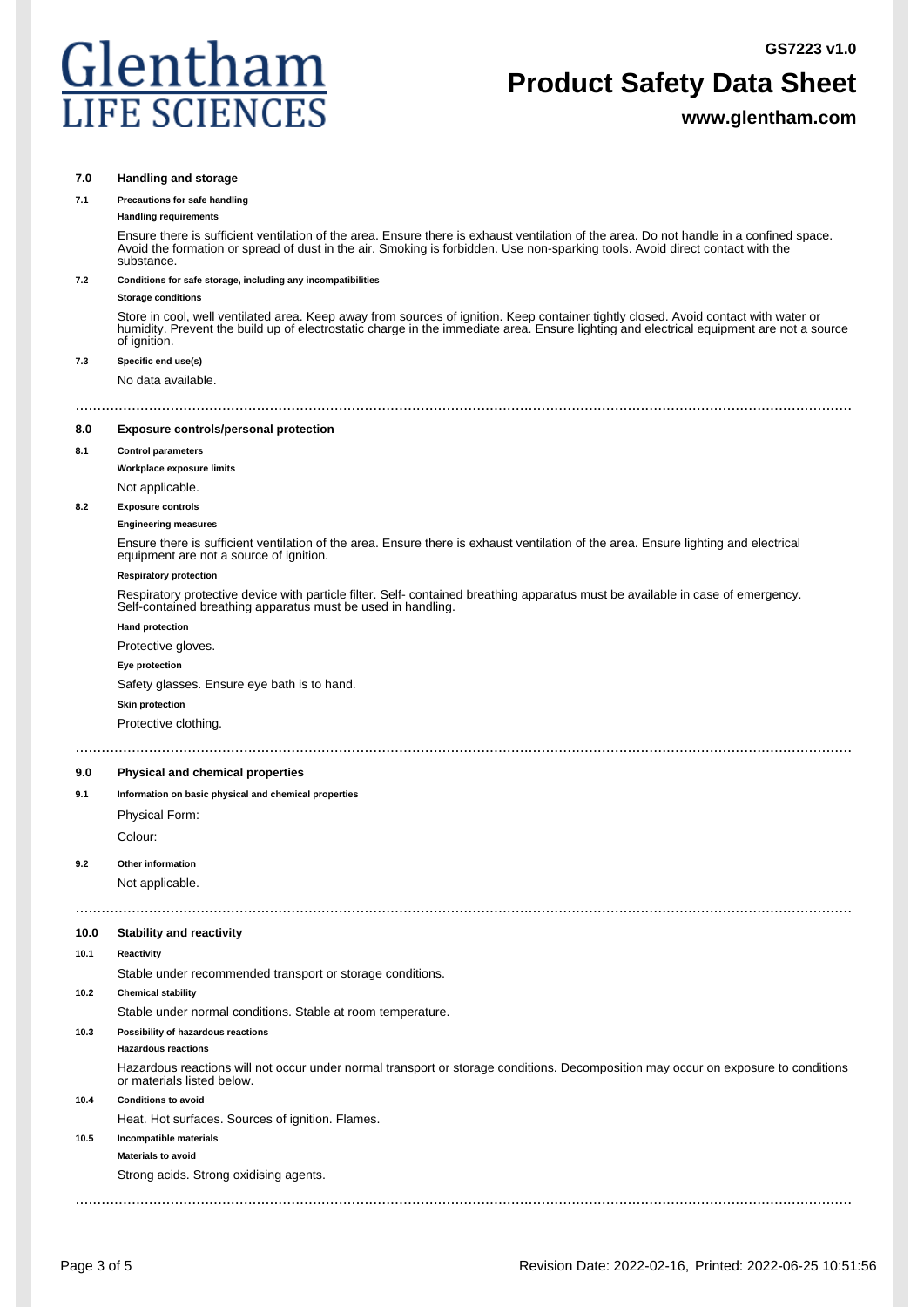**GS7223 v1.0**



# **Product Safety Data Sheet**

**www.glentham.com**

# **7.0 Handling and storage**

# **7.1 Precautions for safe handling**

#### **Handling requirements**

Ensure there is sufficient ventilation of the area. Ensure there is exhaust ventilation of the area. Do not handle in a confined space. Avoid the formation or spread of dust in the air. Smoking is forbidden. Use non-sparking tools. Avoid direct contact with the substance.

# **7.2 Conditions for safe storage, including any incompatibilities**

#### **Storage conditions**

Store in cool, well ventilated area. Keep away from sources of ignition. Keep container tightly closed. Avoid contact with water or humidity. Prevent the build up of electrostatic charge in the immediate area. Ensure lighting and electrical equipment are not a source of ignition.

#### **7.3 Specific end use(s)**

No data available.

# ....................................................................................................................................................................................

**8.0 Exposure controls/personal protection**

#### **8.1 Control parameters**

**Workplace exposure limits**

### Not applicable.

**8.2 Exposure controls**

### **Engineering measures**

Ensure there is sufficient ventilation of the area. Ensure there is exhaust ventilation of the area. Ensure lighting and electrical equipment are not a source of ignition.

# **Respiratory protection**

Respiratory protective device with particle filter. Self- contained breathing apparatus must be available in case of emergency. Self-contained breathing apparatus must be used in handling.

#### **Hand protection**

Protective gloves.

#### **Eye protection**

Safety glasses. Ensure eye bath is to hand.

#### **Skin protection**

Protective clothing.

# ....................................................................................................................................................................................

# **9.0 Physical and chemical properties**

# **9.1 Information on basic physical and chemical properties**

Physical Form:

Colour:

#### **9.2 Other information**

Not applicable.

### **10.0 Stability and reactivity**

#### **10.1 Reactivity**

Stable under recommended transport or storage conditions.

# **10.2 Chemical stability**

Stable under normal conditions. Stable at room temperature.

# **10.3 Possibility of hazardous reactions**

**Hazardous reactions**

Hazardous reactions will not occur under normal transport or storage conditions. Decomposition may occur on exposure to conditions or materials listed below.

....................................................................................................................................................................................

# **10.4 Conditions to avoid**

Heat. Hot surfaces. Sources of ignition. Flames.

# **10.5 Incompatible materials Materials to avoid**

Strong acids. Strong oxidising agents.

....................................................................................................................................................................................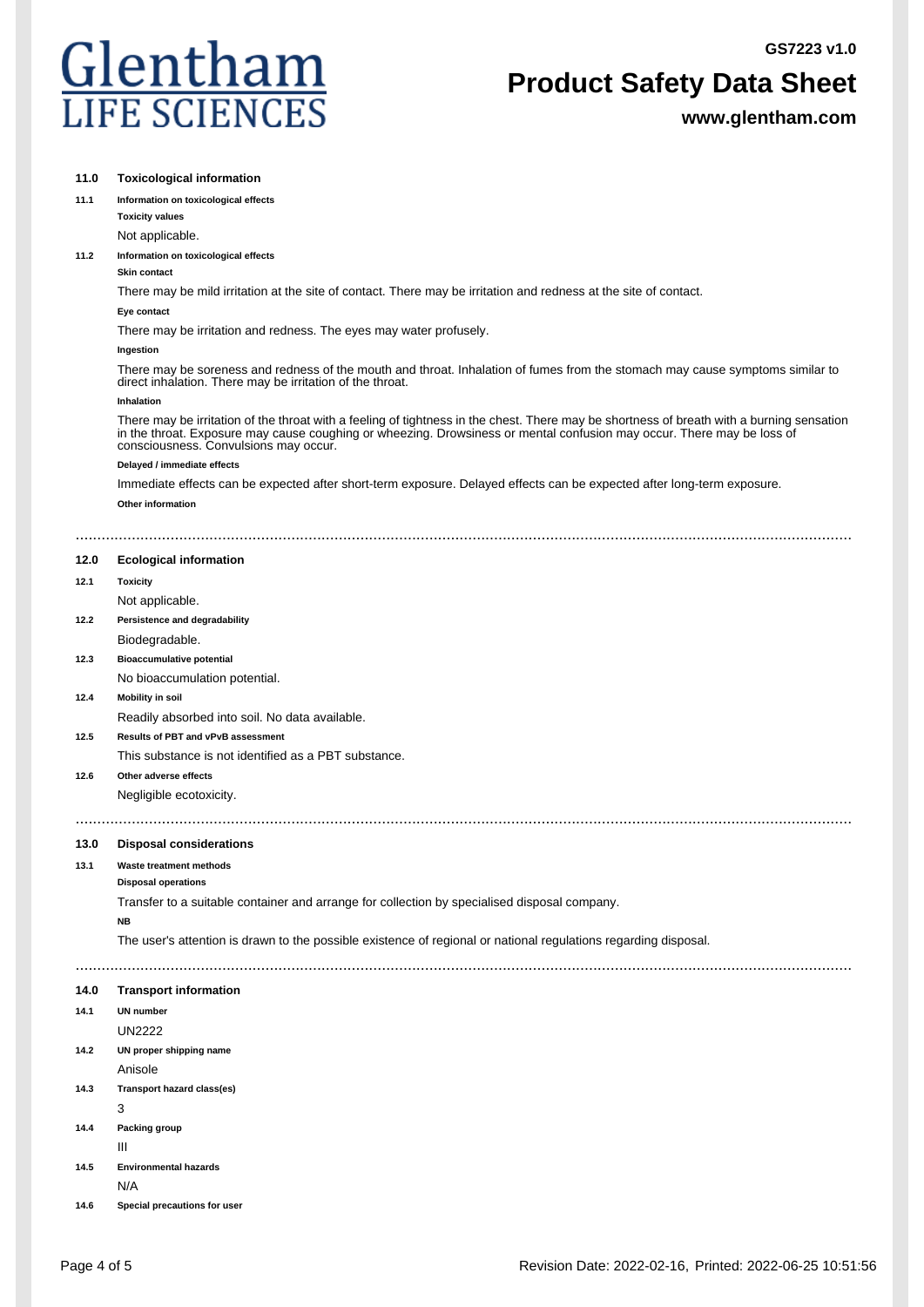**GS7223 v1.0**



# **Product Safety Data Sheet**

**www.glentham.com**

| 11.0 | <b>Toxicological information</b>                                                                                                                                                                                                                                                                             |
|------|--------------------------------------------------------------------------------------------------------------------------------------------------------------------------------------------------------------------------------------------------------------------------------------------------------------|
| 11.1 | Information on toxicological effects                                                                                                                                                                                                                                                                         |
|      | <b>Toxicity values</b>                                                                                                                                                                                                                                                                                       |
|      | Not applicable.                                                                                                                                                                                                                                                                                              |
| 11.2 | Information on toxicological effects<br><b>Skin contact</b>                                                                                                                                                                                                                                                  |
|      | There may be mild irritation at the site of contact. There may be irritation and redness at the site of contact.                                                                                                                                                                                             |
|      | Eye contact                                                                                                                                                                                                                                                                                                  |
|      | There may be irritation and redness. The eyes may water profusely.                                                                                                                                                                                                                                           |
|      | Ingestion                                                                                                                                                                                                                                                                                                    |
|      | There may be soreness and redness of the mouth and throat. Inhalation of fumes from the stomach may cause symptoms similar to<br>direct inhalation. There may be irritation of the throat.                                                                                                                   |
|      | Inhalation                                                                                                                                                                                                                                                                                                   |
|      | There may be irritation of the throat with a feeling of tightness in the chest. There may be shortness of breath with a burning sensation<br>in the throat. Exposure may cause coughing or wheezing. Drowsiness or mental confusion may occur. There may be loss of<br>consciousness. Convulsions may occur. |
|      | Delayed / immediate effects                                                                                                                                                                                                                                                                                  |
|      | Immediate effects can be expected after short-term exposure. Delayed effects can be expected after long-term exposure.                                                                                                                                                                                       |
|      | Other information                                                                                                                                                                                                                                                                                            |
|      |                                                                                                                                                                                                                                                                                                              |
|      |                                                                                                                                                                                                                                                                                                              |
| 12.0 | <b>Ecological information</b>                                                                                                                                                                                                                                                                                |
| 12.1 | <b>Toxicity</b>                                                                                                                                                                                                                                                                                              |
|      | Not applicable.                                                                                                                                                                                                                                                                                              |
| 12.2 | Persistence and degradability                                                                                                                                                                                                                                                                                |
|      | Biodegradable.                                                                                                                                                                                                                                                                                               |
| 12.3 | <b>Bioaccumulative potential</b>                                                                                                                                                                                                                                                                             |
|      | No bioaccumulation potential.                                                                                                                                                                                                                                                                                |
| 12.4 | <b>Mobility in soil</b>                                                                                                                                                                                                                                                                                      |
|      | Readily absorbed into soil. No data available.                                                                                                                                                                                                                                                               |
| 12.5 | Results of PBT and vPvB assessment                                                                                                                                                                                                                                                                           |
|      | This substance is not identified as a PBT substance.                                                                                                                                                                                                                                                         |
| 12.6 | Other adverse effects                                                                                                                                                                                                                                                                                        |
|      | Negligible ecotoxicity.                                                                                                                                                                                                                                                                                      |
|      |                                                                                                                                                                                                                                                                                                              |
| 13.0 | <b>Disposal considerations</b>                                                                                                                                                                                                                                                                               |
| 13.1 | Waste treatment methods                                                                                                                                                                                                                                                                                      |
|      | <b>Disposal operations</b>                                                                                                                                                                                                                                                                                   |
|      | Transfer to a suitable container and arrange for collection by specialised disposal company.                                                                                                                                                                                                                 |
|      | <b>NB</b>                                                                                                                                                                                                                                                                                                    |
|      | The user's attention is drawn to the possible existence of regional or national regulations regarding disposal.                                                                                                                                                                                              |
|      |                                                                                                                                                                                                                                                                                                              |
| 14.0 | <b>Transport information</b>                                                                                                                                                                                                                                                                                 |
| 14.1 | <b>UN number</b>                                                                                                                                                                                                                                                                                             |
|      | <b>UN2222</b>                                                                                                                                                                                                                                                                                                |
| 14.2 | UN proper shipping name                                                                                                                                                                                                                                                                                      |
|      | Anisole                                                                                                                                                                                                                                                                                                      |
| 14.3 | Transport hazard class(es)                                                                                                                                                                                                                                                                                   |
|      | 3                                                                                                                                                                                                                                                                                                            |
| 14.4 | Packing group                                                                                                                                                                                                                                                                                                |
|      | Ш                                                                                                                                                                                                                                                                                                            |
| 14.5 | <b>Environmental hazards</b>                                                                                                                                                                                                                                                                                 |
|      | N/A                                                                                                                                                                                                                                                                                                          |
| 14.6 | Special precautions for user                                                                                                                                                                                                                                                                                 |